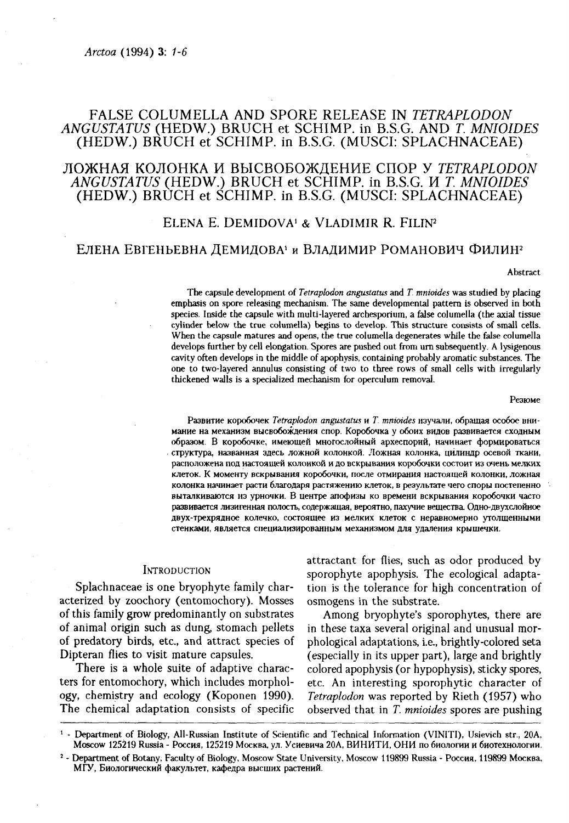# FALSE COLUMELLA AND SPORE RELEASE IN TETRAPLODON ANGUSTATUS (HEDW.) BRUCH et SCHIMP. in B.S.G. AND T. MNIOIDES (HEDW.) BRUCH et SCHIMP. in B.S.G. (MUSCI: SPLACHNACEAE)

# ЛОЖНАЯ КОЛОНКА И ВЫСВОБОЖДЕНИЕ СПОР У ТЕТRAPLODON ANGUSTATUS (HEDW.) BRUCH et SCHIMP. in B.S.G. И T. MNIOIDES (HEDW.) BRUCH et SCHIMP. in B.S.G. (MUSCI: SPLACHNACEAE)

# ELENA E. DEMIDOVA<sup>1</sup> & VLADIMIR R. FILIN<sup>2</sup>

# ЕЛЕНА ЕВГЕНЬЕВНА ДЕМИДОВА<sup>1</sup> и ВЛАДИМИР РОМАНОВИЧ ФИЛИН<sup>2</sup>

Abstract

The capsule development of Tetraplodon angustatus and T. mnioides was studied by placing emphasis on spore releasing mechanism. The same developmental pattern is observed in both species. Inside the capsule with multi-layered archesporium, a false columella (the axial tissue) cylinder below the true columella) begins to develop. This structure consists of small cells. When the capsule matures and opens, the true columella degenerates while the false columella develops further by cell elongation. Spores are pushed out from urn subsequently. A lysigenous cavity often develops in the middle of apophysis, containing probably aromatic substances. The one to two-layered annulus consisting of two to three rows of small cells with irregularly thickened walls is a specialized mechanism for operculum removal.

#### Резюме

Развитие коробочек Tetraplodon angustatus и T. mnioides изучали, обращая особое внимание на механизм высвобождения спор. Коробочка у обоих видов развивается сходным образом. В коробочке, имеющей многослойный археспорий, начинает формироваться структура, названная здесь ложной колонкой. Ложная колонка, цилиндр осевой ткани, расположена под настоящей колонкой и до вскрывания коробочки состоит из очень мелких клеток. К моменту вскрывания коробочки, после отмирания настоящей колонки, ложная колонка начинает расти благодаря растяжению клеток, в результате чего споры постепенно выталкиваются из урночки. В центре апофизы ко времени вскрывания коробочки часто развивается лизигенная полость, содержащая, вероятно, пахучие вещества. Одно-двухслойное двух-трехрядное колечко, состоящее из мелких клеток с неравномерно утолщенными стенками, является специализированным механизмом для удаления крышечки.

## **INTRODUCTION**

Splachnaceae is one bryophyte family characterized by zoochory (entomochory). Mosses of this family grow predominantly on substrates of animal origin such as dung, stomach pellets of predatory birds, etc., and attract species of Dipteran flies to visit mature capsules.

There is a whole suite of adaptive characters for entomochory, which includes morphology, chemistry and ecology (Koponen 1990). The chemical adaptation consists of specific attractant for flies, such as odor produced by sporophyte apophysis. The ecological adaptation is the tolerance for high concentration of osmogens in the substrate.

Among bryophyte's sporophytes, there are in these taxa several original and unusual morphological adaptations, i.e., brightly-colored seta (especially in its upper part), large and brightly colored apophysis (or hypophysis), sticky spores, etc. An interesting sporophytic character of Tetraplodon was reported by Rieth (1957) who observed that in  $T$ . mnioides spores are pushing

<sup>&</sup>lt;sup>1</sup> - Department of Biology, All-Russian Institute of Scientific and Technical Information (VINITI), Usievich str., 20A, Moscow 125219 Russia - Россия, 125219 Москва, ул. Усиевича 20А, ВИНИТИ, ОНИ по биологии и биотехнологии.

<sup>&</sup>lt;sup>2</sup> - Department of Botany, Faculty of Biology, Moscow State University, Moscow 119899 Russia - Россия, 119899 Москва, МГУ. Биологический факультет, кафедра высших растений.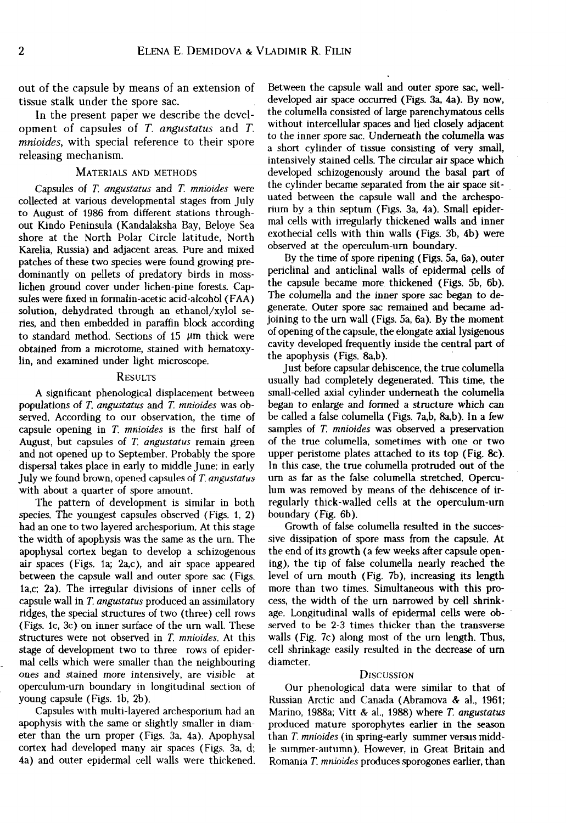out of the capsule by means of an extension of tissue stalk under the spore sac.

In the present paper we describe the development of capsules of *T. angustatus* and *T. mnioides,* with special reference to their spore releasing mechanism.

## MATERIALS AND METHODS

Capsules of *T. angustatus* and *T. mnioides* were collected at various developmental stages from July to August of 1986 from different stations throughout Kindo Peninsula (Kandalaksha Bay, Beloye Sea shore at the North Polar Circle latitude, North Karelia, Russia) and adjacent areas. Pure and mixed patches of these two species were found growing predominantly on pellets of predatory birds in mosslichen ground cover under lichen-pine forests. Capsules were fixed in formalin-acetic acid-alcohol (FAA) solution, dehydrated through an ethanol/xylol series, and then embedded in paraffin block according to standard method. Sections of 15  $\mu$ m thick were obtained from a microtome, stained with hematoxylin, and examined under light microscope.

## **RESULTS**

A significant phenological displacement between populations of *T. angustatus* and *T. mnioides* was observed. According to our observation, the time of capsule opening in *T. mnioides* is the first half of August, but capsules of *T. angustatus* remain green and not opened up to September. Probably the spore dispersal takes place in early to middle June: in early July we found brown, opened capsules of *T. angustatus*  with about a quarter of spore amount.

The pattern of development is similar in both species. The youngest capsules observed (Figs. 1, 2) had an one to two layered archesporium. At this stage the width of apophysis was the same as the urn. The apophysal cortex began to develop a schizogenous air spaces (Figs. la; 2a,c), and air space appeared between the capsule wall and outer spore sac (Figs. la,c; 2a). The irregular divisions of inner cells of capsule wall in *T. angustatus* produced an assimilatory ridges, the special structures of two (three) cell rows (Figs. 1c, 3c) on inner surface of the urn wall. These structures were not observed in *T. mnioides.* At this stage of development two to three rows of epidermal cells which were smaller than the neighbouring ones and stained more intensively, are visible at operculum-urn boundary in longitudinal section of young capsule (Figs. lb, 2b).

Capsules with multi-layered archesporium had an apophysis with the same or slightly smaller in diameter than the urn proper (Figs. 3a, 4a). Apophysal cortex had developed many air spaces (Figs. 3a, d; 4a) and outer epidermal cell walls were thickened.

Between the capsule wall and outer spore sac, welldeveloped air space occurred (Figs. 3a, 4a). By now, the columella consisted of large parenchymatous cells without intercellular spaces and lied closely adjacent to the inner spore sac. Underneath the columella was a short cylinder of tissue consisting of very small, intensively stained cells. The circular air space which developed schizogenously around the basal part of the cylinder became separated from the air space situated between the capsule wall and the archesporium by a thin septum (Figs. 3a, 4a). Small epidermal cells with irregularly thickened walls and inner exothecial cells with thin walls (Figs. 3b, 4b) were observed at the operculum-urn boundary.

By the time of spore ripening (Figs. 5a, 6a), outer periclinal and anticlinal walls of epidermal cells of the capsule became more thickened (Figs. 5b, 6b). The columella and the inner spore sac began to degenerate. Outer spore sac remained and became adjoining to the urn wall (Figs. 5a, 6a). By the moment of opening of the capsule, the elongate axial lysigenous cavity developed frequently inside the central part of the apophysis (Figs. 8a,b).

Just before capsular dehiscence, the true columella usually had completely degenerated. This time, the small-celled axial cylinder underneath the columella began to enlarge and formed a structure which can be called a false columella (Figs. 7a,b, 8a,b). In a few samples of *T. mnioides* was observed a preservation of the true columella, sometimes with one or two upper peristome plates attached to its top (Fig. 8c). In this case, the true columella protruded out of the urn as far as the false columella stretched. Operculum was removed by means of the dehiscence of irregularly thick-walled cells at the operculum-urn boundary (Fig. 6b).

Growth of false columella resulted in the successive dissipation of spore mass from the capsule. At the end of its growth (a few weeks after capsule opening), the tip of false columella nearly reached the level of urn mouth (Fig. 7b), increasing its length more than two times. Simultaneous with this process, the width of the urn narrowed by cell shrinkage. Longitudinal walls of epidermal cells were observed to be 2-3 times thicker than the transverse walls (Fig. 7c) along most of the urn length. Thus, cell shrinkage easily resulted in the decrease of urn diameter.

#### **DISCUSSION**

Our phenological data were similar to that of Russian Arctic and Canada (Abramova & al., 1961; Marino, 1988a; Vitt & al., 1988) where *T. angustatus*  produced mature sporophytes earlier in the season than *T. mnioides* (in spring-early summer versus middle summer-autumn). However, in Great Britain and Romania *T. mnioides* produces sporogones earlier, than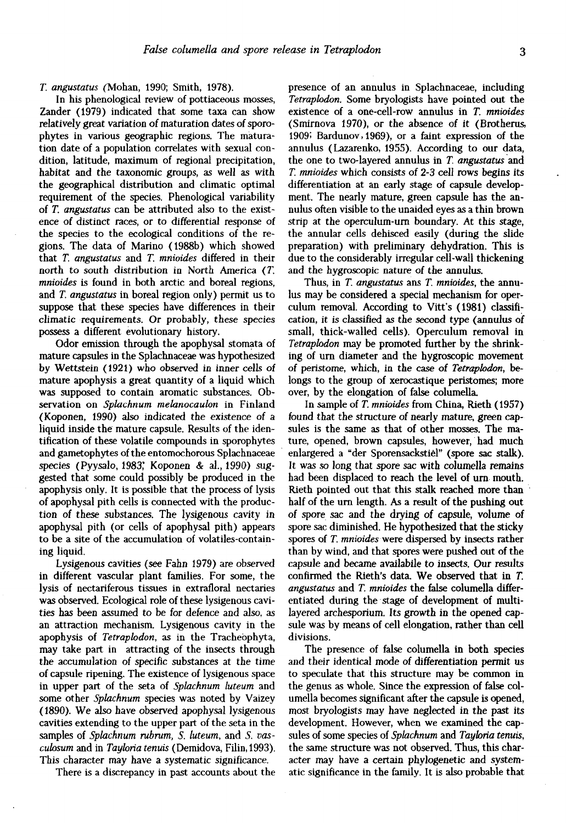*T. angustatus* (Mohan, 1990; Smith, 1978).

In his phenological review of pottiaceous mosses, Zander (1979) indicated that some taxa can show relatively great variation of maturation dates of sporophytes in various geographic regions. The maturation date of a population correlates with sexual condition, latitude, maximum of regional precipitation, habitat and the taxonomic groups, as well as with the geographical distribution and climatic optimal requirement of the species. Phenological variability of *T. angustatus* can be attributed also to the existence of distinct races, or to differential response of the species to the ecological conditions of the regions. The data of Marino (1988b) which showed that *T. angustatus* and *T. mnioides* differed in their north to south distribution in North America (T. *mnioides* is found in both arctic and boreal regions, and *T. angustatus* in boreal region only) permit us to suppose that these species have differences in their climatic requirements. Or probably, these species possess a different evolutionary history.

Odor emission through the apophysal stomata of mature capsules in the Splachnaceae was hypothesized by Wettstein (1921) who observed in inner cells of mature apophysis a great quantity of a liquid which was supposed to contain aromatic substances. Observation on *Splachnum melanocaulon* in Finland (Koponen, 1990) also indicated the existence of a liquid inside the mature capsule. Results of the identification of these volatile compounds in sporophytes and gametophytes of the entomochorous Splachnaceae species (Pyysalo, 1983; Koponen & al., 1990) suggested that some could possibly be produced in the apophysis only. It is possible that the process of lysis of apophysal pith cells is connected with the production of these substances. The lysigenous cavity in apophysal pith (or cells of apophysal pith) appears to be a site of the accumulation of volatiles-containing liquid.

Lysigenous cavities (see Fahn 1979) are observed in different vascular plant families. For some, the lysis of nectariferous tissues in extrafloral nectaries was observed. Ecological role of these lysigenous cavities has been assumed to be for defence and also, as an attraction mechanism. Lysigenous cavity in the apophysis of *Tetraplodon,* as in the Tracheophyta, may take part in attracting of the insects through the accumulation of specific substances at the time of capsule ripening. The existence of lysigenous space in upper part of the seta of *Splachnum luteum* and some other *Splachnum* species was noted by Vaizey (1890). We also have observed apophysal lysigenous cavities extending to the upper part of the seta in the samples of *Splachnum rubrum, S. luteum,* and *S. vasculosum* and in *Tayloria tenuis* (Demidova, Filin, 1993). This character may have a systematic significance.

There is a discrepancy in past accounts about the

presence of an annulus in Splachnaceae, including *Tetraplodon.* Some bryologists have pointed out the existence of a one-cell-row annulus in *T. mnioides*  (Smirnova 1970), or the absence of it (Brotheras, 1909; Bardunov, 1969), or a faint expression of the annulus (Lazarenko, 1955). According to our data, the one to two-layered annulus in *T. angustatus* and *T. mnioides* which consists of 2-3 cell rows begins its differentiation at an early stage of capsule development. The nearly mature, green capsule has the annulus often visible to the unaided eyes as a thin brown strip at the operculum-urn boundary. At this stage, the annular cells dehisced easily (during the slide preparation) with preliminary dehydration. This is due to the considerably irregular cell-wall thickening and the hygroscopic nature of the annulus.

Thus, in *T. angustatus* ans *T. mnioides,* the annulus may be considered a special mechanism for operculum removal. According to Vitt's (1981) classification, it is classified as the second type (annulus of small, thick-walled cells). Operculum removal in *Tetraplodon* may be promoted further by the shrinking of urn diameter and the hygroscopic movement of peristome, which, in the case of *Tetraplodon,* belongs to the group of xerocastique peristomes; more over, by the elongation of false columella.

In sample of *T. mnioides* from China, Rieth (1957) found that the structure of nearly mature, green capsules is the same as that of other mosses. The mature, opened, brown capsules, however, had much enlargered a "der Sporensackstiel" (spore sac stalk). It was so long that spore sac with columella remains had been displaced to reach the level of urn mouth. Rieth pointed out that this stalk reached more than half of the urn length. As a result of the pushing out of spore sac and the drying of capsule, volume of spore sac diminished. He hypothesized that the sticky spores of *T. mnioides* were dispersed by insects rather than by wind, and that spores were pushed out of the capsule and became availabile to insects. Our results confirmed the Rieth's data. We observed that in *T. angustatus* and *T. mnioides* the false columella differentiated during the stage of development of multilayered archesporium. Its growth in the opened capsule was by means of cell elongation, rather than cell divisions.

The presence of false columella in both species and their identical mode of differentiation permit us to speculate that this structure may be common in the genus as whole. Since the expression of false columella becomes significant after the capsule is opened, most bryologists may have neglected in the past its development. However, when we examined the capsules of some species of *Splachnum* and *Tayloria tenuis,*  the same structure was not observed. Thus, this character may have a certain phylogenetic and systematic significance in the family. It is also probable that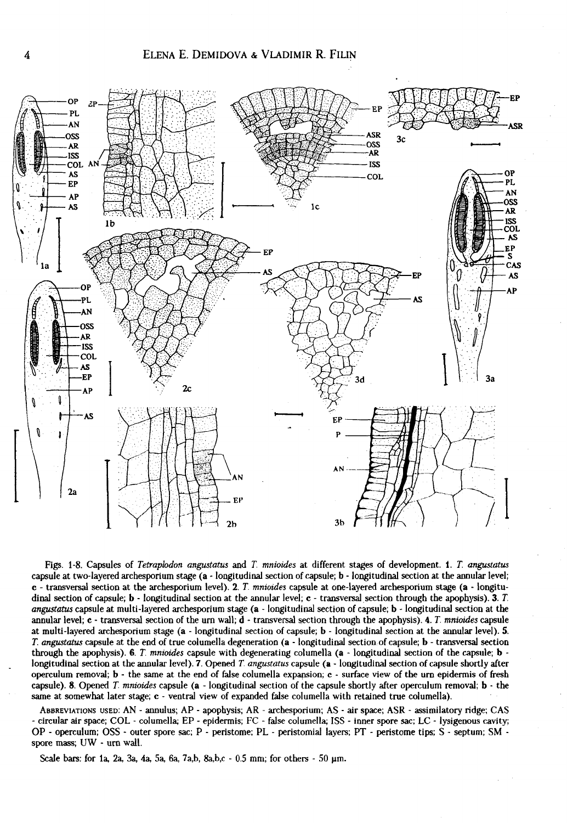

Figs. 1-8. Capsules of *Tetraplodon angustatus* and *T. mnioides* at different stages of development. 1. *T. angustatus*  capsule at two-layered archesporium stage (a - longitudinal section of capsule; b - longitudinal section at the annular level; - transversal section at the archesporium level). 2. *T. mnioides* capsule at one-layered archesporium stage (a - longitudinal section of capsule; **b** - longitudinal section at the annular level; **c** - transversal section through the apophysis). 3. *T*. *angustatus* capsule at multi-layered archesporium stage (a - longitudinal section of capsule; b - longitudinal section at the annular level; c - transversal section of the urn wall; d - transversal section through the apophysis). 4. T. mnioides capsule at multi-layered archesporium stage (a - longitudinal section of capsule; b - longitudinal section at the annular level). 5. *T. angustatus* capsule at the end of true columella degeneration (a - longitudinal section of capsule; b - transversal section through the apophysis). 6. *T. mnioides* capsule with degenerating columella (a - longitudinal section of the capsule; b longitudinal section at the annular level). 7. Opened *T angustatus* capsule (a - longitudinal section of capsule shortly after operculum removal; b - the same at the end of false columella expansion; c - surface view of the urn epidermis of fresh capsule). 8. Opened *T. mnioides* capsule (a - longitudinal section of the capsule shortly after operculum removal; b - the same at somewhat later stage; c - ventral view of expanded false columella with retained true columella).

ABBREVIATIONS USED: AN - annulus; AP - apophysis; AR - archesporium; AS - air space; ASR - assimilatory ridge; CAS - circular air space; COL - columella; EP - epidermis; FC - false columella; ISS - inner spore sac; LC - lysigenous cavity; OP - operculum; OSS - outer spore sac; P - peristome; PL - peristomial layers; PT - peristome tips; S - septum; SM spore mass; UW - urn wall.

Scale bars: for 1a, 2a, 3a, 4a, 5a, 6a, 7a,b, 8a,b,c - 0.5 mm; for others - 50 µm.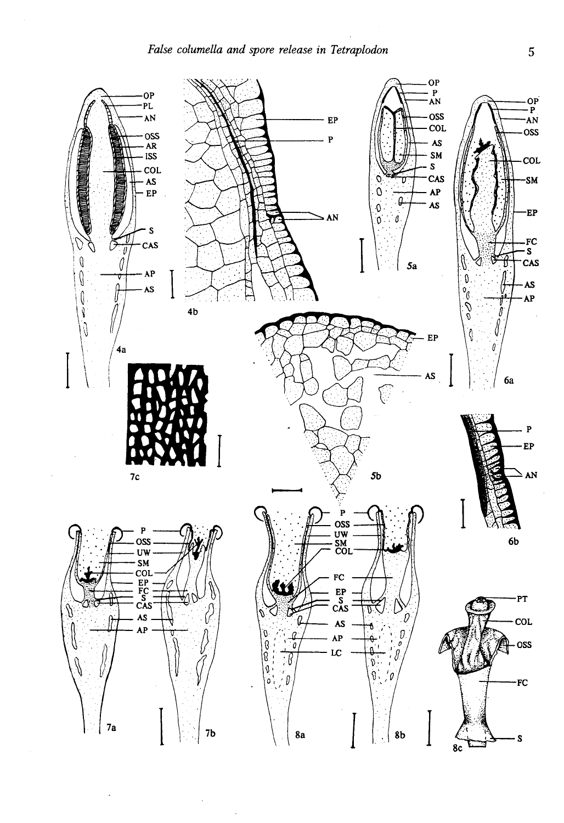